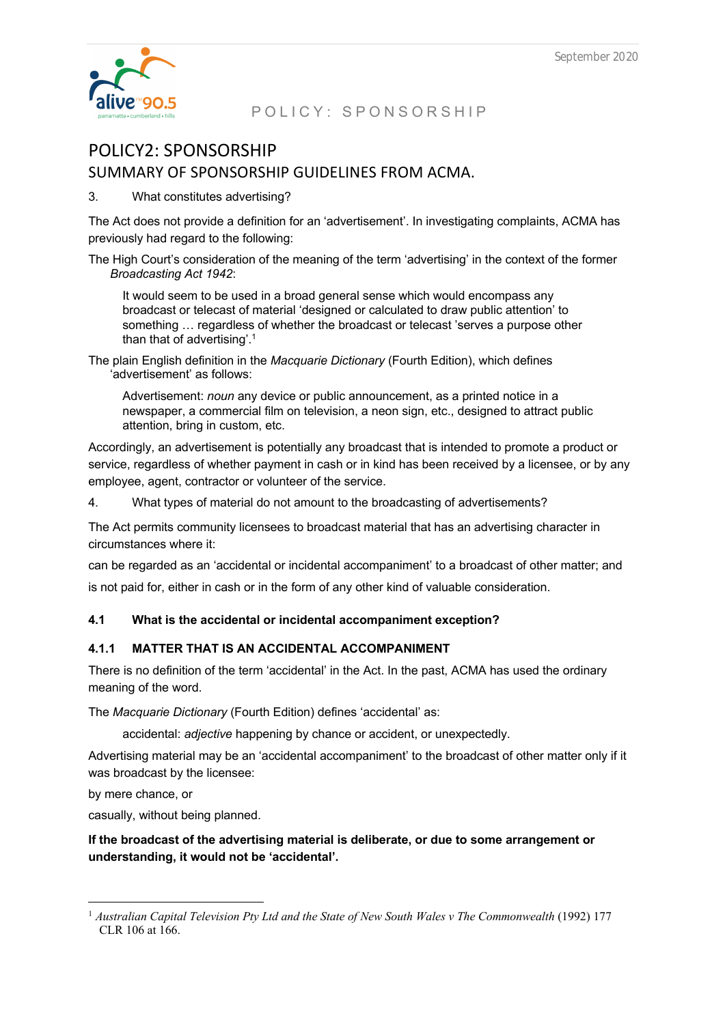

# POLICY2: SPONSORSHIP SUMMARY OF SPONSORSHIP GUIDELINES FROM ACMA.

3. What constitutes advertising?

The Act does not provide a definition for an 'advertisement'. In investigating complaints, ACMA has previously had regard to the following:

The High Court's consideration of the meaning of the term 'advertising' in the context of the former *Broadcasting Act 1942*:

It would seem to be used in a broad general sense which would encompass any broadcast or telecast of material 'designed or calculated to draw public attention' to something … regardless of whether the broadcast or telecast 'serves a purpose other than that of advertising'.1

The plain English definition in the *Macquarie Dictionary* (Fourth Edition), which defines 'advertisement' as follows:

Advertisement: *noun* any device or public announcement, as a printed notice in a newspaper, a commercial film on television, a neon sign, etc., designed to attract public attention, bring in custom, etc.

Accordingly, an advertisement is potentially any broadcast that is intended to promote a product or service, regardless of whether payment in cash or in kind has been received by a licensee, or by any employee, agent, contractor or volunteer of the service.

4. What types of material do not amount to the broadcasting of advertisements?

The Act permits community licensees to broadcast material that has an advertising character in circumstances where it:

can be regarded as an 'accidental or incidental accompaniment' to a broadcast of other matter; and is not paid for, either in cash or in the form of any other kind of valuable consideration.

## **4.1 What is the accidental or incidental accompaniment exception?**

## **4.1.1 MATTER THAT IS AN ACCIDENTAL ACCOMPANIMENT**

There is no definition of the term 'accidental' in the Act. In the past, ACMA has used the ordinary meaning of the word.

The *Macquarie Dictionary* (Fourth Edition) defines 'accidental' as:

accidental: *adjective* happening by chance or accident, or unexpectedly.

Advertising material may be an 'accidental accompaniment' to the broadcast of other matter only if it was broadcast by the licensee:

by mere chance, or

casually, without being planned.

**If the broadcast of the advertising material is deliberate, or due to some arrangement or understanding, it would not be 'accidental'.**

<sup>&</sup>lt;sup>1</sup> Australian Capital Television Pty Ltd and the State of New South Wales v The Commonwealth (1992) 177 CLR 106 at 166.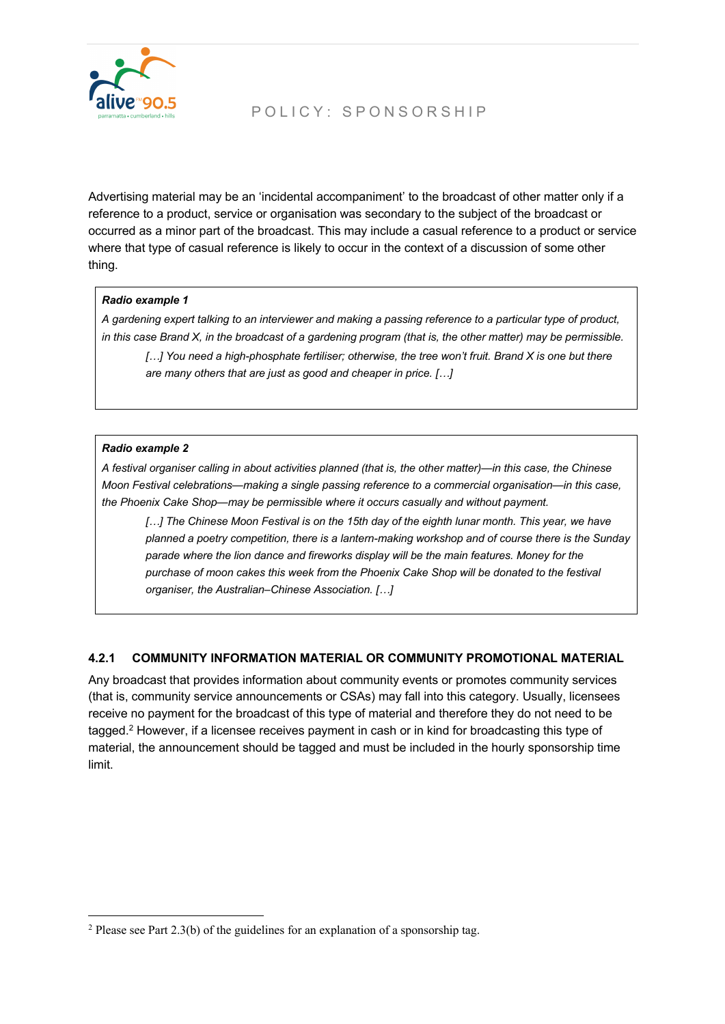

Advertising material may be an 'incidental accompaniment' to the broadcast of other matter only if a reference to a product, service or organisation was secondary to the subject of the broadcast or occurred as a minor part of the broadcast. This may include a casual reference to a product or service where that type of casual reference is likely to occur in the context of a discussion of some other thing.

#### *Radio example 1*

*A gardening expert talking to an interviewer and making a passing reference to a particular type of product, in this case Brand X, in the broadcast of a gardening program (that is, the other matter) may be permissible.*

[...] You need a high-phosphate fertiliser; otherwise, the tree won't fruit. Brand X is one but there *are many others that are just as good and cheaper in price. […]*

#### *Radio example 2*

*A festival organiser calling in about activities planned (that is, the other matter)—in this case, the Chinese Moon Festival celebrations—making a single passing reference to a commercial organisation—in this case, the Phoenix Cake Shop—may be permissible where it occurs casually and without payment.*

[...] The Chinese Moon Festival is on the 15th day of the eighth lunar month. This year, we have *planned a poetry competition, there is a lantern-making workshop and of course there is the Sunday parade where the lion dance and fireworks display will be the main features. Money for the purchase of moon cakes this week from the Phoenix Cake Shop will be donated to the festival organiser, the Australian–Chinese Association. […]*

## **4.2.1 COMMUNITY INFORMATION MATERIAL OR COMMUNITY PROMOTIONAL MATERIAL**

Any broadcast that provides information about community events or promotes community services (that is, community service announcements or CSAs) may fall into this category. Usually, licensees receive no payment for the broadcast of this type of material and therefore they do not need to be tagged.<sup>2</sup> However, if a licensee receives payment in cash or in kind for broadcasting this type of material, the announcement should be tagged and must be included in the hourly sponsorship time limit.

 $2$  Please see Part 2.3(b) of the guidelines for an explanation of a sponsorship tag.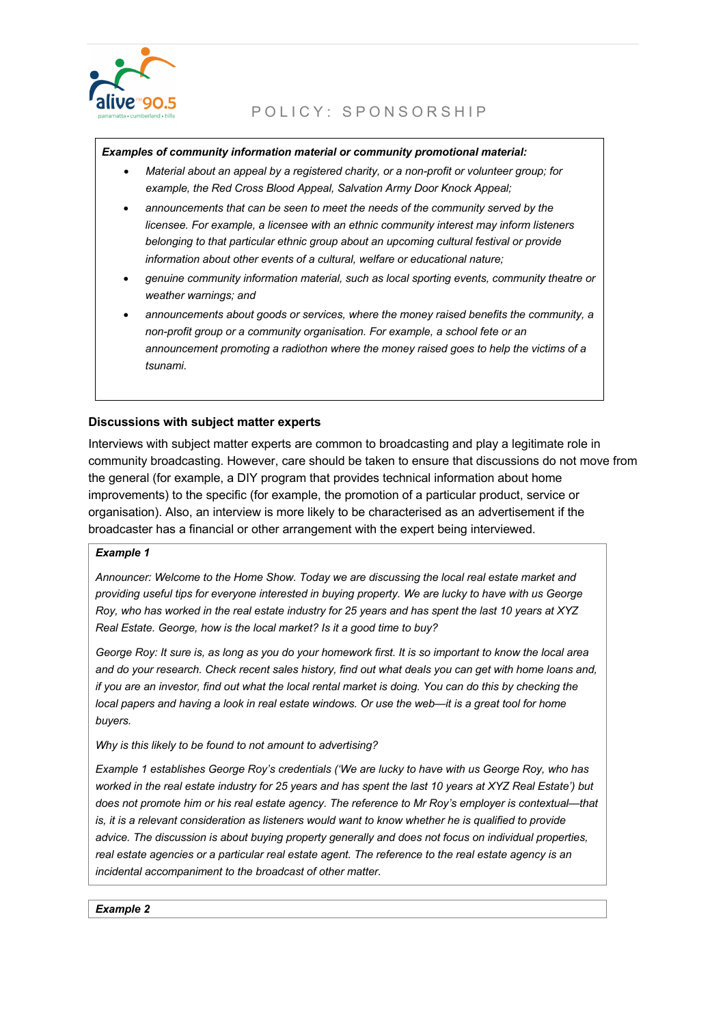

#### *Examples of community information material or community promotional material:*

- *Material about an appeal by a registered charity, or a non-profit or volunteer group; for example, the Red Cross Blood Appeal, Salvation Army Door Knock Appeal;*
- *announcements that can be seen to meet the needs of the community served by the licensee. For example, a licensee with an ethnic community interest may inform listeners belonging to that particular ethnic group about an upcoming cultural festival or provide information about other events of a cultural, welfare or educational nature;*
- *genuine community information material, such as local sporting events, community theatre or weather warnings; and*
- *announcements about goods or services, where the money raised benefits the community, a non-profit group or a community organisation. For example, a school fete or an announcement promoting a radiothon where the money raised goes to help the victims of a tsunami.*

#### **Discussions with subject matter experts**

Interviews with subject matter experts are common to broadcasting and play a legitimate role in community broadcasting. However, care should be taken to ensure that discussions do not move from the general (for example, a DIY program that provides technical information about home improvements) to the specific (for example, the promotion of a particular product, service or organisation). Also, an interview is more likely to be characterised as an advertisement if the broadcaster has a financial or other arrangement with the expert being interviewed.

#### *Example 1*

*Announcer: Welcome to the Home Show. Today we are discussing the local real estate market and providing useful tips for everyone interested in buying property. We are lucky to have with us George Roy, who has worked in the real estate industry for 25 years and has spent the last 10 years at XYZ Real Estate. George, how is the local market? Is it a good time to buy?*

*George Roy: It sure is, as long as you do your homework first. It is so important to know the local area and do your research. Check recent sales history, find out what deals you can get with home loans and, if you are an investor, find out what the local rental market is doing. You can do this by checking the local papers and having a look in real estate windows. Or use the web—it is a great tool for home buyers.*

*Why is this likely to be found to not amount to advertising?*

*Example 1 establishes George Roy's credentials ('We are lucky to have with us George Roy, who has worked in the real estate industry for 25 years and has spent the last 10 years at XYZ Real Estate') but does not promote him or his real estate agency. The reference to Mr Roy's employer is contextual—that is, it is a relevant consideration as listeners would want to know whether he is qualified to provide advice. The discussion is about buying property generally and does not focus on individual properties, real estate agencies or a particular real estate agent. The reference to the real estate agency is an incidental accompaniment to the broadcast of other matter.*

*Example 2*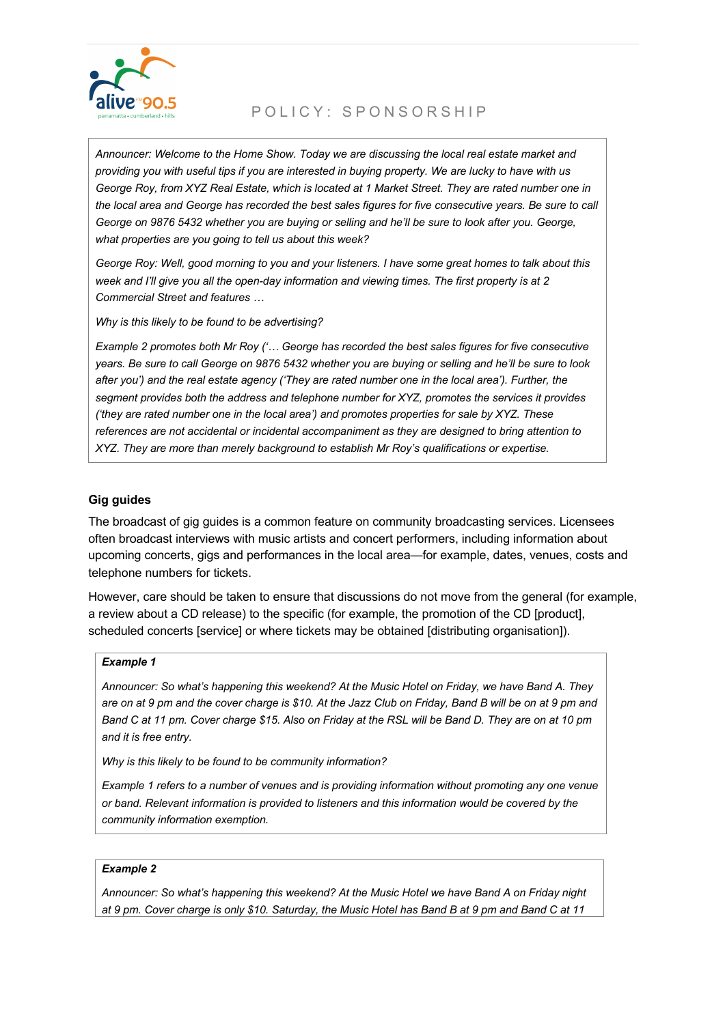

*Announcer: Welcome to the Home Show. Today we are discussing the local real estate market and providing you with useful tips if you are interested in buying property. We are lucky to have with us George Roy, from XYZ Real Estate, which is located at 1 Market Street. They are rated number one in the local area and George has recorded the best sales figures for five consecutive years. Be sure to call George on 9876 5432 whether you are buying or selling and he'll be sure to look after you. George, what properties are you going to tell us about this week?*

*George Roy: Well, good morning to you and your listeners. I have some great homes to talk about this week and I'll give you all the open-day information and viewing times. The first property is at 2 Commercial Street and features …*

*Why is this likely to be found to be advertising?*

*Example 2 promotes both Mr Roy ('… George has recorded the best sales figures for five consecutive years. Be sure to call George on 9876 5432 whether you are buying or selling and he'll be sure to look after you') and the real estate agency ('They are rated number one in the local area'). Further, the segment provides both the address and telephone number for XYZ, promotes the services it provides ('they are rated number one in the local area') and promotes properties for sale by XYZ. These references are not accidental or incidental accompaniment as they are designed to bring attention to XYZ. They are more than merely background to establish Mr Roy's qualifications or expertise.*

#### **Gig guides**

The broadcast of gig guides is a common feature on community broadcasting services. Licensees often broadcast interviews with music artists and concert performers, including information about upcoming concerts, gigs and performances in the local area—for example, dates, venues, costs and telephone numbers for tickets.

However, care should be taken to ensure that discussions do not move from the general (for example, a review about a CD release) to the specific (for example, the promotion of the CD [product], scheduled concerts [service] or where tickets may be obtained [distributing organisation]).

#### *Example 1*

*Announcer: So what's happening this weekend? At the Music Hotel on Friday, we have Band A. They are on at 9 pm and the cover charge is \$10. At the Jazz Club on Friday, Band B will be on at 9 pm and Band C at 11 pm. Cover charge \$15. Also on Friday at the RSL will be Band D. They are on at 10 pm and it is free entry.* 

*Why is this likely to be found to be community information?*

*Example 1 refers to a number of venues and is providing information without promoting any one venue or band. Relevant information is provided to listeners and this information would be covered by the community information exemption.*

#### *Example 2*

*Announcer: So what's happening this weekend? At the Music Hotel we have Band A on Friday night at 9 pm. Cover charge is only \$10. Saturday, the Music Hotel has Band B at 9 pm and Band C at 11*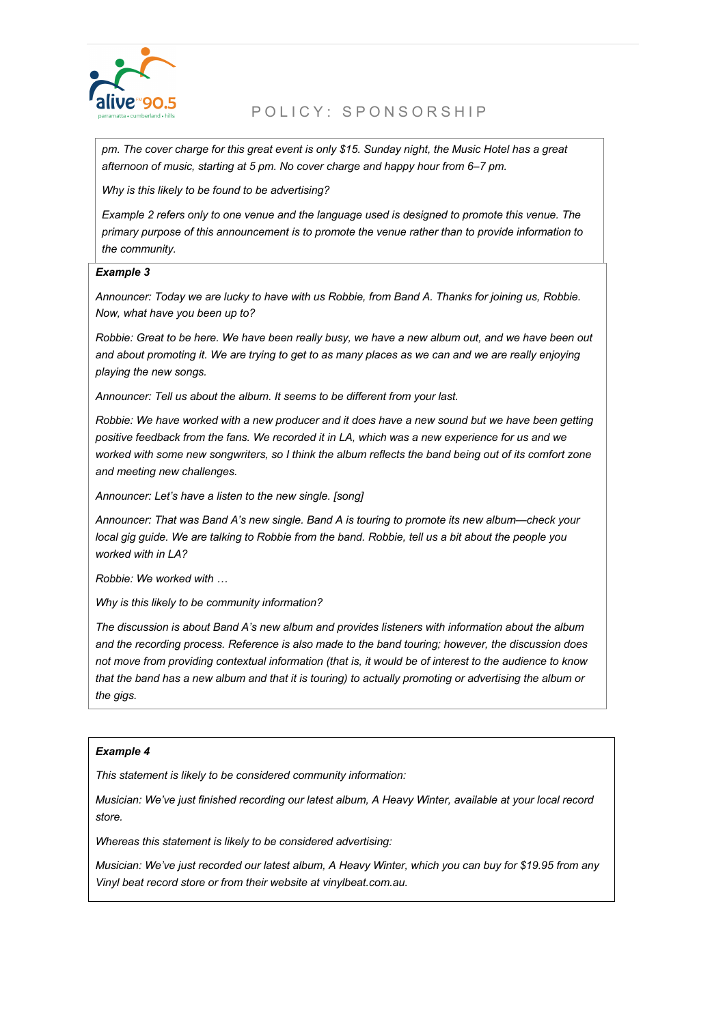

*pm. The cover charge for this great event is only \$15. Sunday night, the Music Hotel has a great afternoon of music, starting at 5 pm. No cover charge and happy hour from 6–7 pm.*

*Why is this likely to be found to be advertising?*

*Example 2 refers only to one venue and the language used is designed to promote this venue. The primary purpose of this announcement is to promote the venue rather than to provide information to the community.*

#### *Example 3*

*Announcer: Today we are lucky to have with us Robbie, from Band A. Thanks for joining us, Robbie. Now, what have you been up to?*

*Robbie: Great to be here. We have been really busy, we have a new album out, and we have been out*  and about promoting it. We are trying to get to as many places as we can and we are really enjoying *playing the new songs.*

*Announcer: Tell us about the album. It seems to be different from your last.*

*Robbie: We have worked with a new producer and it does have a new sound but we have been getting positive feedback from the fans. We recorded it in LA, which was a new experience for us and we worked with some new songwriters, so I think the album reflects the band being out of its comfort zone and meeting new challenges.*

*Announcer: Let's have a listen to the new single. [song]*

*Announcer: That was Band A's new single. Band A is touring to promote its new album—check your local gig guide. We are talking to Robbie from the band. Robbie, tell us a bit about the people you worked with in LA?*

*Robbie: We worked with …*

*Why is this likely to be community information?*

*The discussion is about Band A's new album and provides listeners with information about the album and the recording process. Reference is also made to the band touring; however, the discussion does not move from providing contextual information (that is, it would be of interest to the audience to know that the band has a new album and that it is touring) to actually promoting or advertising the album or the gigs.*

#### *Example 4*

*This statement is likely to be considered community information:*

*Musician: We've just finished recording our latest album, A Heavy Winter, available at your local record store.*

*Whereas this statement is likely to be considered advertising:*

*Musician: We've just recorded our latest album, A Heavy Winter, which you can buy for \$19.95 from any Vinyl beat record store or from their website at vinylbeat.com.au.*